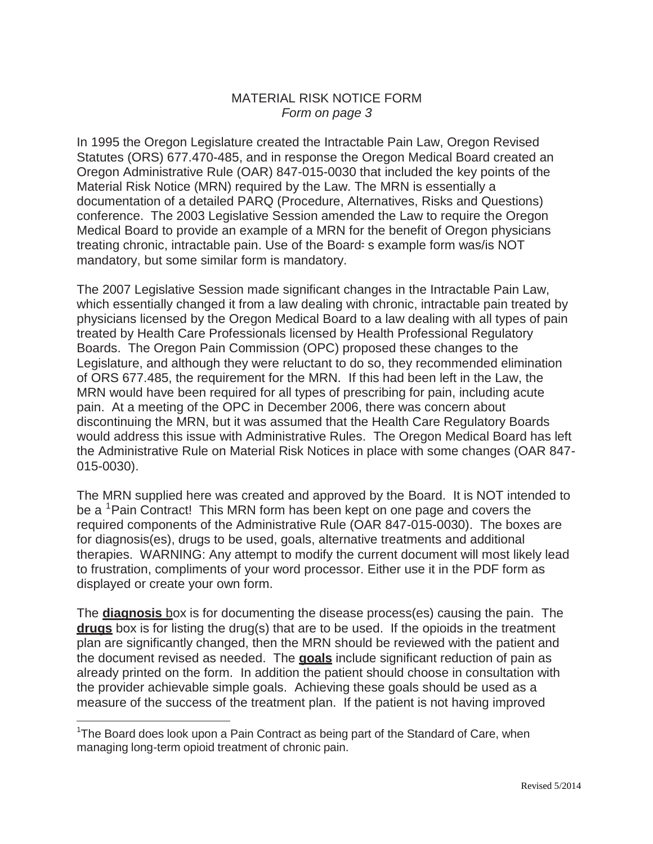## MATERIAL RISK NOTICE FORM *Form on page 3*

In 1995 the Oregon Legislature created the Intractable Pain Law, Oregon Revised Statutes (ORS) 677.470-485, and in response the Oregon Medical Board created an Oregon Administrative Rule (OAR) 847-015-0030 that included the key points of the Material Risk Notice (MRN) required by the Law. The MRN is essentially a documentation of a detailed PARQ (Procedure, Alternatives, Risks and Questions) conference. The 2003 Legislative Session amended the Law to require the Oregon Medical Board to provide an example of a MRN for the benefit of Oregon physicians treating chronic, intractable pain. Use of the Board-s example form was/is NOT mandatory, but some similar form is mandatory.

The 2007 Legislative Session made significant changes in the Intractable Pain Law, which essentially changed it from a law dealing with chronic, intractable pain treated by physicians licensed by the Oregon Medical Board to a law dealing with all types of pain treated by Health Care Professionals licensed by Health Professional Regulatory Boards. The Oregon Pain Commission (OPC) proposed these changes to the Legislature, and although they were reluctant to do so, they recommended elimination of ORS 677.485, the requirement for the MRN. If this had been left in the Law, the MRN would have been required for all types of prescribing for pain, including acute pain. At a meeting of the OPC in December 2006, there was concern about discontinuing the MRN, but it was assumed that the Health Care Regulatory Boards would address this issue with Administrative Rules. The Oregon Medical Board has left the Administrative Rule on Material Risk Notices in place with some changes (OAR 847- 015-0030).

The MRN supplied here was created and approved by the Board. It is NOT intended to be a <sup>1</sup>Pain Contract! This MRN form has been kept on one page and covers the required components of the Administrative Rule (OAR 847-015-0030). The boxes are for diagnosis(es), drugs to be used, goals, alternative treatments and additional therapies. WARNING: Any attempt to modify the current document will most likely lead to frustration, compliments of your word processor. Either use it in the PDF form as displayed or create your own form.

The **diagnosis** box is for documenting the disease process(es) causing the pain. The **drugs** box is for listing the drug(s) that are to be used. If the opioids in the treatment plan are significantly changed, then the MRN should be reviewed with the patient and the document revised as needed. The **goals** include significant reduction of pain as already printed on the form. In addition the patient should choose in consultation with the provider achievable simple goals. Achieving these goals should be used as a measure of the success of the treatment plan. If the patient is not having improved

<sup>&</sup>lt;sup>1</sup>The Board does look upon a Pain Contract as being part of the Standard of Care, when managing long-term opioid treatment of chronic pain.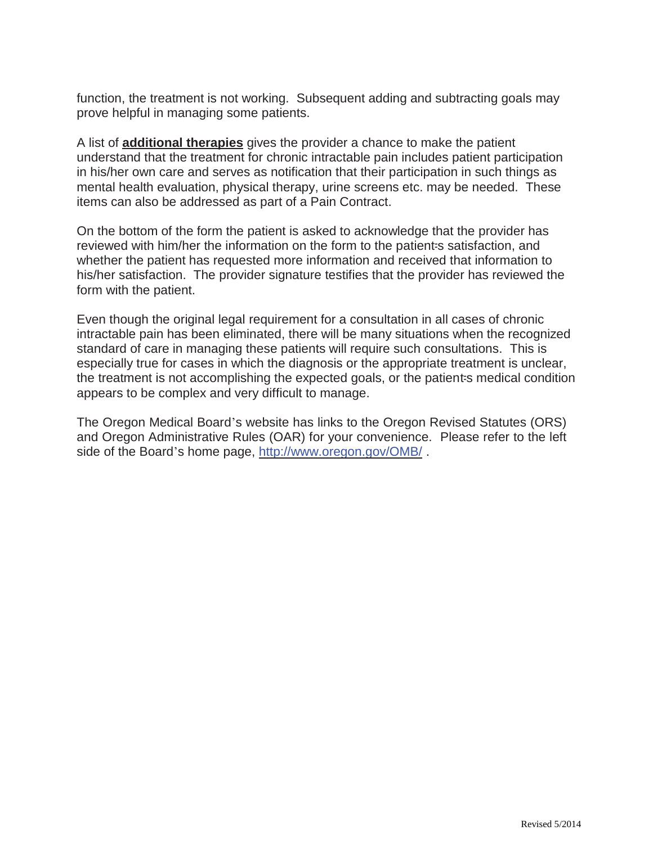function, the treatment is not working. Subsequent adding and subtracting goals may prove helpful in managing some patients.

A list of **additional therapies** gives the provider a chance to make the patient understand that the treatment for chronic intractable pain includes patient participation in his/her own care and serves as notification that their participation in such things as mental health evaluation, physical therapy, urine screens etc. may be needed. These items can also be addressed as part of a Pain Contract.

On the bottom of the form the patient is asked to acknowledge that the provider has reviewed with him/her the information on the form to the patient-s satisfaction, and whether the patient has requested more information and received that information to his/her satisfaction. The provider signature testifies that the provider has reviewed the form with the patient.

Even though the original legal requirement for a consultation in all cases of chronic intractable pain has been eliminated, there will be many situations when the recognized standard of care in managing these patients will require such consultations. This is especially true for cases in which the diagnosis or the appropriate treatment is unclear, the treatment is not accomplishing the expected goals, or the patient-s medical condition appears to be complex and very difficult to manage.

The Oregon Medical Board's website has links to the Oregon Revised Statutes (ORS) and Oregon Administrative Rules (OAR) for your convenience. Please refer to the left side of the Board's home page,<http://www.oregon.gov/OMB/> .